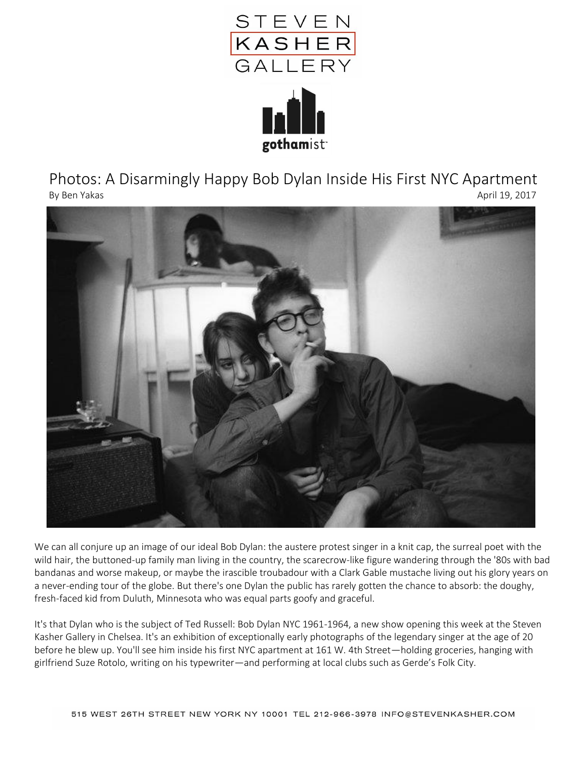

Photos: A Disarmingly Happy Bob Dylan Inside His First NYC Apartment By Ben Yakas April 19, 2017

gothamist



We can all conjure up an image of our ideal Bob Dylan: the austere protest singer in a knit cap, the surreal poet with the wild hair, the buttoned-up family man living in the country, the scarecrow-like figure wandering through the '80s with bad bandanas and worse makeup, or maybe the irascible troubadour with a Clark Gable mustache living out his glory years on a never-ending tour of the globe. But there's one Dylan the public has rarely gotten the chance to absorb: the doughy, fresh-faced kid from Duluth, Minnesota who was equal parts goofy and graceful.

It's that Dylan who is the subject of Ted Russell: Bob Dylan NYC 1961-1964, a new show opening this week at the Steven Kasher Gallery in Chelsea. It's an exhibition of exceptionally early photographs of the legendary singer at the age of 20 before he blew up. You'll see him inside his first NYC apartment at 161 W. 4th Street—holding groceries, hanging with girlfriend Suze Rotolo, writing on his typewriter—and performing at local clubs such as Gerde's Folk City.